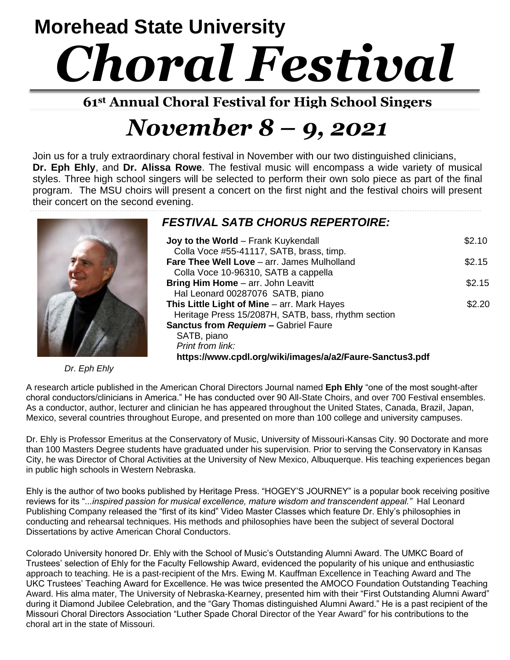# **Morehead State University** *Choral Festival*

**61st Annual Choral Festival for High School Singers**

## *November 8 – 9, 2021*

Join us for a truly extraordinary choral festival in November with our two distinguished clinicians, **Dr. Eph Ehly**, and **Dr. Alissa Rowe**. The festival music will encompass a wide variety of musical styles. Three high school singers will be selected to perform their own solo piece as part of the final program. The MSU choirs will present a concert on the first night and the festival choirs will present their concert on the second evening.



*Dr. Eph Ehly*

#### *FESTIVAL SATB CHORUS REPERTOIRE:*

| Joy to the World - Frank Kuykendall                      | \$2.10 |
|----------------------------------------------------------|--------|
| Colla Voce #55-41117, SATB, brass, timp.                 |        |
| <b>Fare Thee Well Love</b> – arr. James Mulholland       | \$2.15 |
| Colla Voce 10-96310, SATB a cappella                     |        |
| Bring Him Home - arr. John Leavitt                       | \$2.15 |
| Hal Leonard 00287076 SATB, piano                         |        |
| This Little Light of Mine - arr. Mark Hayes              | \$2.20 |
| Heritage Press 15/2087H, SATB, bass, rhythm section      |        |
| <b>Sanctus from Requiem - Gabriel Faure</b>              |        |
| SATB, piano                                              |        |
| Print from link:                                         |        |
| https://www.cpdl.org/wiki/images/a/a2/Faure-Sanctus3.pdf |        |

A research article published in the American Choral Directors Journal named **Eph Ehly** "one of the most sought-after choral conductors/clinicians in America." He has conducted over 90 All-State Choirs, and over 700 Festival ensembles. As a conductor, author, lecturer and clinician he has appeared throughout the United States, Canada, Brazil, Japan, Mexico, several countries throughout Europe, and presented on more than 100 college and university campuses.

Dr. Ehly is Professor Emeritus at the Conservatory of Music, University of Missouri-Kansas City. 90 Doctorate and more than 100 Masters Degree students have graduated under his supervision. Prior to serving the Conservatory in Kansas City, he was Director of Choral Activities at the University of New Mexico, Albuquerque. His teaching experiences began in public high schools in Western Nebraska.

Ehly is the author of two books published by Heritage Press. "HOGEY'S JOURNEY" is a popular book receiving positive reviews for its "*...inspired passion for musical excellence, mature wisdom and transcendent appeal."* Hal Leonard Publishing Company released the "first of its kind" Video Master Classes which feature Dr. Ehly's philosophies in conducting and rehearsal techniques. His methods and philosophies have been the subject of several Doctoral Dissertations by active American Choral Conductors.

Colorado University honored Dr. Ehly with the School of Music's Outstanding Alumni Award. The UMKC Board of Trustees' selection of Ehly for the Faculty Fellowship Award, evidenced the popularity of his unique and enthusiastic approach to teaching. He is a past-recipient of the Mrs. Ewing M. Kauffman Excellence in Teaching Award and The UKC Trustees' Teaching Award for Excellence. He was twice presented the AMOCO Foundation Outstanding Teaching Award. His alma mater, The University of Nebraska-Kearney, presented him with their "First Outstanding Alumni Award" during it Diamond Jubilee Celebration, and the "Gary Thomas distinguished Alumni Award." He is a past recipient of the Missouri Choral Directors Association "Luther Spade Choral Director of the Year Award" for his contributions to the choral art in the state of Missouri.